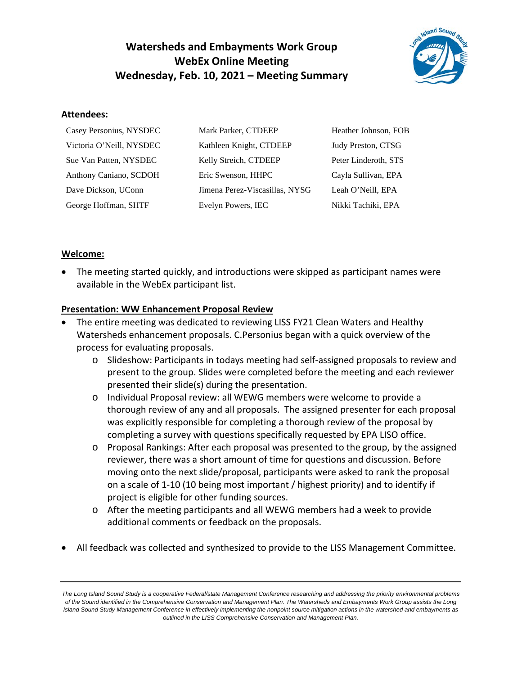# **Watersheds and Embayments Work Group WebEx Online Meeting Wednesday, Feb. 10, 2021 – Meeting Summary**



#### **Attendees:**

| Casey Personius, NYSDEC  | Mark Parker, CTDEEP            | Heather Johnson, FOB |
|--------------------------|--------------------------------|----------------------|
| Victoria O'Neill, NYSDEC | Kathleen Knight, CTDEEP        | Judy Preston, CTSG   |
| Sue Van Patten, NYSDEC   | Kelly Streich, CTDEEP          | Peter Linderoth, STS |
| Anthony Caniano, SCDOH   | Eric Swenson, HHPC             | Cayla Sullivan, EPA  |
| Dave Dickson, UConn      | Jimena Perez-Viscasillas, NYSG | Leah O'Neill, EPA    |
| George Hoffman, SHTF     | Evelyn Powers, IEC             | Nikki Tachiki, EPA   |

## **Welcome:**

• The meeting started quickly, and introductions were skipped as participant names were available in the WebEx participant list.

## **Presentation: WW Enhancement Proposal Review**

- The entire meeting was dedicated to reviewing LISS FY21 Clean Waters and Healthy Watersheds enhancement proposals. C.Personius began with a quick overview of the process for evaluating proposals.
	- o Slideshow: Participants in todays meeting had self-assigned proposals to review and present to the group. Slides were completed before the meeting and each reviewer presented their slide(s) during the presentation.
	- o Individual Proposal review: all WEWG members were welcome to provide a thorough review of any and all proposals. The assigned presenter for each proposal was explicitly responsible for completing a thorough review of the proposal by completing a survey with questions specifically requested by EPA LISO office.
	- o Proposal Rankings: After each proposal was presented to the group, by the assigned reviewer, there was a short amount of time for questions and discussion. Before moving onto the next slide/proposal, participants were asked to rank the proposal on a scale of 1-10 (10 being most important / highest priority) and to identify if project is eligible for other funding sources.
	- o After the meeting participants and all WEWG members had a week to provide additional comments or feedback on the proposals.
- All feedback was collected and synthesized to provide to the LISS Management Committee.

*The Long Island Sound Study is a cooperative Federal/state Management Conference researching and addressing the priority environmental problems of the Sound identified in the Comprehensive Conservation and Management Plan. The Watersheds and Embayments Work Group assists the Long Island Sound Study Management Conference in effectively implementing the nonpoint source mitigation actions in the watershed and embayments as outlined in the LISS Comprehensive Conservation and Management Plan.*